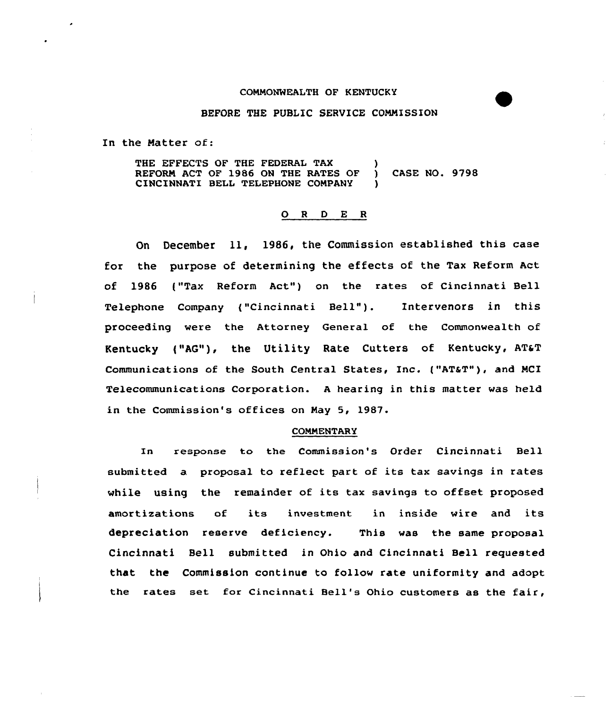#### COMMONWEALTH OF KENTUCKY

## BEFORE THE PUBLIC SERVICE COMMISSION

In the Matter of:

THE EFFECTS OF THE FEDERAL TAX REFORM ACT OF 1986 ON THE RATES OF ) CASE NO. 9798 CINCINNATI BELL TELEPHONE COMPANY

## 0 <sup>R</sup> <sup>D</sup> E <sup>R</sup>

On December ll, 1986, the Commission established this case for the purpose of determining the effects of the Tax Reform Act of 1986 ("Tax Reform Act") on the rates of Cincinnati Bell Telephone Company ("Cincinnati Bell"). Intervenors in this proceeding were the Attorney General of the Commonwealth of Kentucky ("AG"), the Utility Rate Cutters of Kentucky, AT&T Communications of the South Central States, Inc. ("AT&T"), and MCI Telecommunications Corporation. <sup>A</sup> hearing in this matter was held in the Commission's offices on May 5, 1987.

### **COMMENTARY**

In response to the Commission's Order Cincinnati Bell submitted a proposal to reflect part of its tax savings in rates while using the remainder of its tax savings to offset proposed amortizations of its investment in inside wire and its depreciation reserve deficiency. This was the same proposal Cincinnati Bell submitted in Ohio and Cincinnati Bell requested that the Commission continue to follow rate uniformity and adopt the rates set fox Cincinnati Bell's Ohio customers as the fair,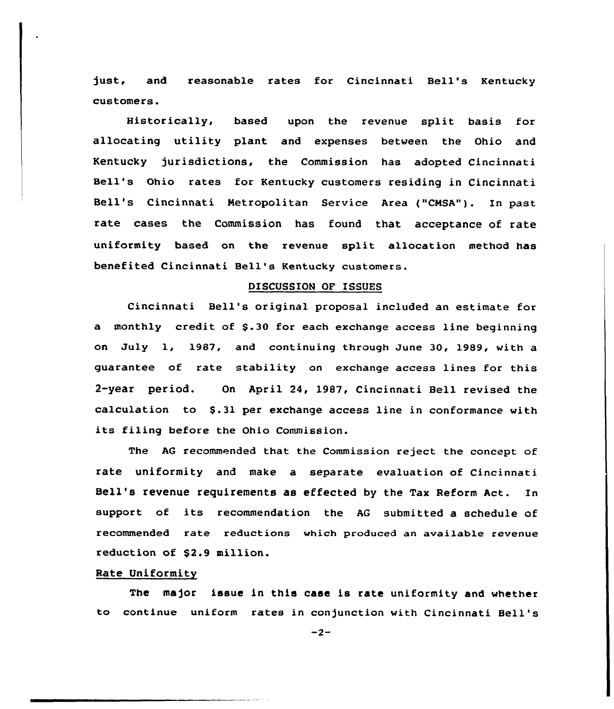just, and reasonable rates for Cincinnati Bell's Kentucky customers.

Historically, based upon the revenue split basis for allocating utility plant and expenses between the Ohio and Kentucky jurisdictions, the Commission has adopted Cincinnati Bell's ohio rates for Kentucky customers residing in Cincinnati Bell's Cincinnati Metropolitan Service Area ("CNSA"). In past rate cases the Commission has found that acceptance of rate uniformity based on the revenue split allocation method has benefited Cincinnati Bell's Kentucky customers.

## DISCUSSION OF ISSUES

Cincinnati Bell's original proposal included an estimate for a monthly credit of \$.30 for each exchange access line beginning on July 1, 1987, and continuing through June 30, 1989, with a guarantee of rate stability on exchange access lines for this 2-year period. On April 24, l987, Cincinnati Bell revised the calculation to \$.31 per exchange access line in conformance with its filing before the Ohio Commission.

The AG recommended that the Commission reject the concept of rate uniformity and make a separate evaluation of Cincinnati Bell's revenue requirements as effected by the Tax Reform Act. In support of its recommendation the AG submitted <sup>a</sup> schedule of recommended rate reductions which produced an available revenue reduction of \$2.9 million.

# Rate Uniformity

The major issue in this case is rate uniformity and whether to continue uniform rates in conjunction with Cincinnati Bell'

 $-2-$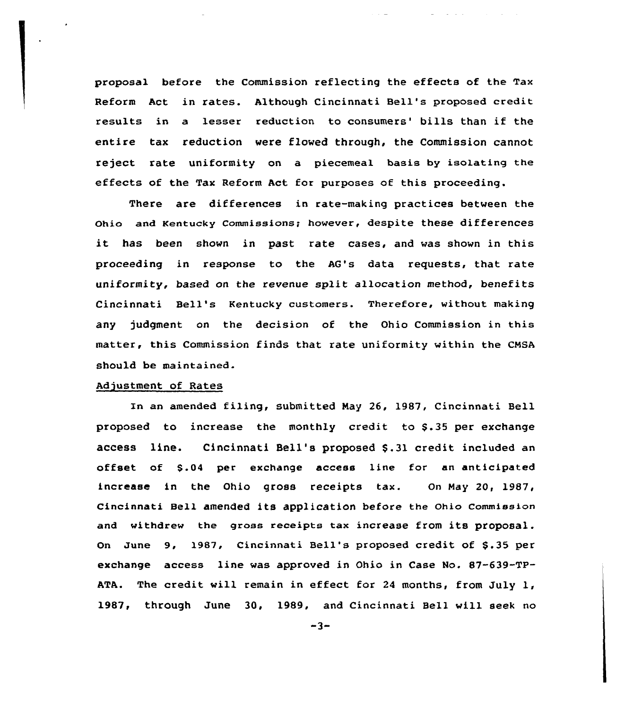proposal before the Commission reflecting the effects of the Tax Reform Act in rates. Although Cincinnati Bell's proposed credit results in a lesser reduction to consumers' bills than if the entire tax reduction were flowed through, the Commission cannot reject rate uniformity on a piecemeal basis by isolating the effects of the Tax Reform Act. for purposes of this proceeding.

 $\mathcal{L}^{\mathcal{L}}$  and  $\mathcal{L}^{\mathcal{L}}$  are the set of the set of the set of  $\mathcal{L}^{\mathcal{L}}$ 

There are differences in rate-making practices between the Ohio and Kentucky Commissions; hovever, despite these differences it has been shown in past rate cases, and vas shown in this proceeding in response to the AG's data requests, that rate uniformity, based on the revenue split allocation method, benefits Cincinnati Bell's Kentucky customers. Therefore, without making any judgment on the decision of the Ohio Commission in this matter, this Commission finds that rate uniformity within the CNSA should be maintained.

# Adjustment of Rates

In an amended filing, submitted Nay 26, 1987, Cincinnati Bell proposed to increase the monthly credit to \$.35 per exchange access line. Cincinnati Bell's proposed \$.31 credit included an offset of \$.04 per exchange access line for an anticipated increase in the Ohio gross receipts tax. On Nay 20, 1987, Cincinnati Bell amended its application before the Ohio Commission and withdrew the gross receipts tax increase from its proposal. On June 9, 1987, Cincinnati Bell's proposed credit of \$.35 per exchange access line was approved in Ohio in Case No. 87-639-TP-ATA. The credit vill remain in effect for <sup>24</sup> months, from July 1, 1987, through June 30, 1989, and Cincinnati Bell vill seek no

 $-3-$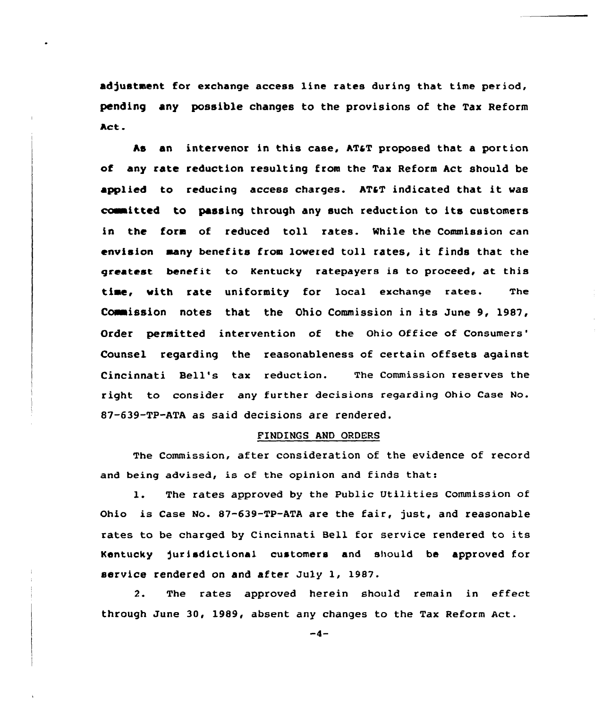adjustment for exchange access line rates during that time period, pending any possible changes to the provisions of the Tax Reform Act.

As an intervenor in this case, AT&T proposed that a portion of any rate reduction resulting from the Tax Reform Act should be applied to reducing access charges. AT&T indicated that it was committed to passing through any such reduction to its customers in the fora of reduced toll rates. While the Commission can envision aany benefits from lowered toll rates, it finds that the greatest benefit to Kentucky ratepayers is to proceed, at this time, with rate uniformity for local exchange rates. The Commission notes that the Ohio Commission in its June 9, 1987, Order permitted intervention of the Ohio Office of Consumers' Counsel regarding the reasonableness of certain offsets against Cincinnati Bell's tax reduction. The Commissian reserves the right to consider any further deeisians regarding Ohio Case No. 87-639-TP-ATA as said decisions are rendered.

## FINDINGS AND ORDERS

The Commission, after consideration of the evidence of record and being advised, is of the opinion and finds that:

1. The rates approved by the Public Utilities Commission of Ohio is Case No.  $87-639-TP-ATA$  are the fair, just, and reasonable rates to be charged by Cincinnati Bell for service rendered to its Kentucky jurisdictional customers and should be approved for service rendered on and after July 1, 1987.

2. The rates approved herein should remain in effect through June 30, 1989, absent any changes to the Tax Reform Act.

 $-4-$